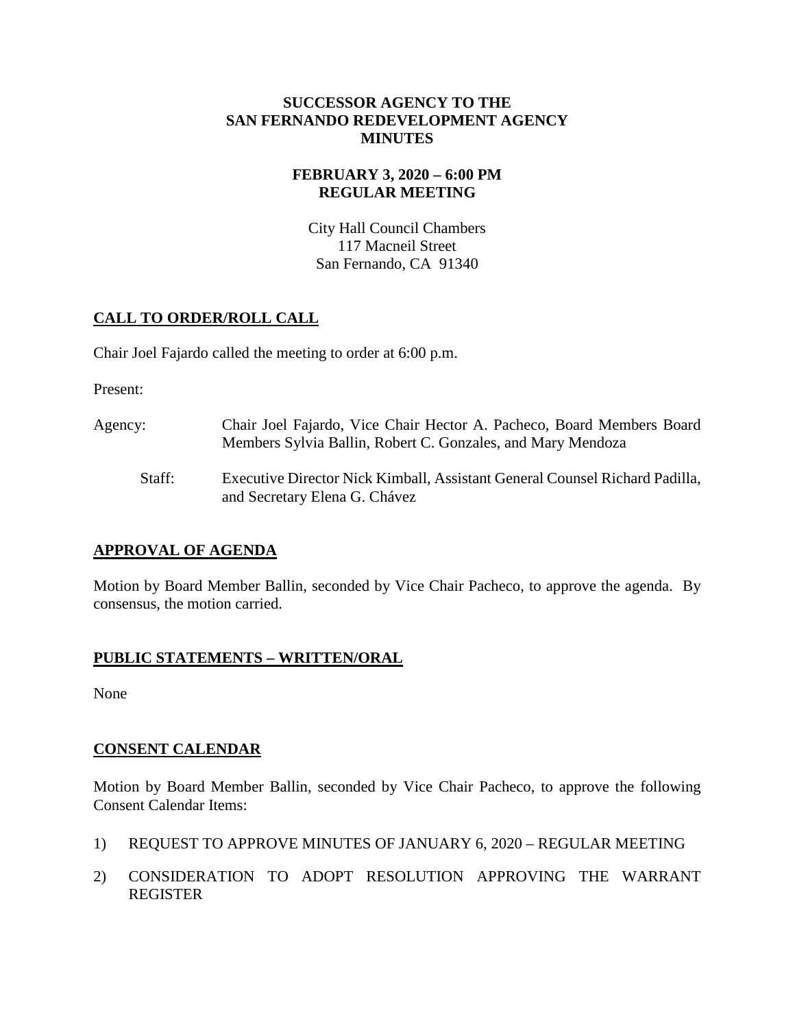#### **SUCCESSOR AGENCY TO THE SAN FERNANDO REDEVELOPMENT AGENCY MINUTES**

### **FEBRUARY 3, 2020 – 6:00 PM REGULAR MEETING**

City Hall Council Chambers 117 Macneil Street San Fernando, CA 91340

## **CALL TO ORDER/ROLL CALL**

Chair Joel Fajardo called the meeting to order at 6:00 p.m.

Present:

- Agency: Chair Joel Fajardo, Vice Chair Hector A. Pacheco, Board Members Board Members Sylvia Ballin, Robert C. Gonzales, and Mary Mendoza
	- Staff: Executive Director Nick Kimball, Assistant General Counsel Richard Padilla, and Secretary Elena G. Chávez

# **APPROVAL OF AGENDA**

Motion by Board Member Ballin, seconded by Vice Chair Pacheco, to approve the agenda. By consensus, the motion carried.

# **PUBLIC STATEMENTS – WRITTEN/ORAL**

None

### **CONSENT CALENDAR**

Motion by Board Member Ballin, seconded by Vice Chair Pacheco, to approve the following Consent Calendar Items:

- 1) REQUEST TO APPROVE MINUTES OF JANUARY 6, 2020 REGULAR MEETING
- 2) CONSIDERATION TO ADOPT RESOLUTION APPROVING THE WARRANT REGISTER